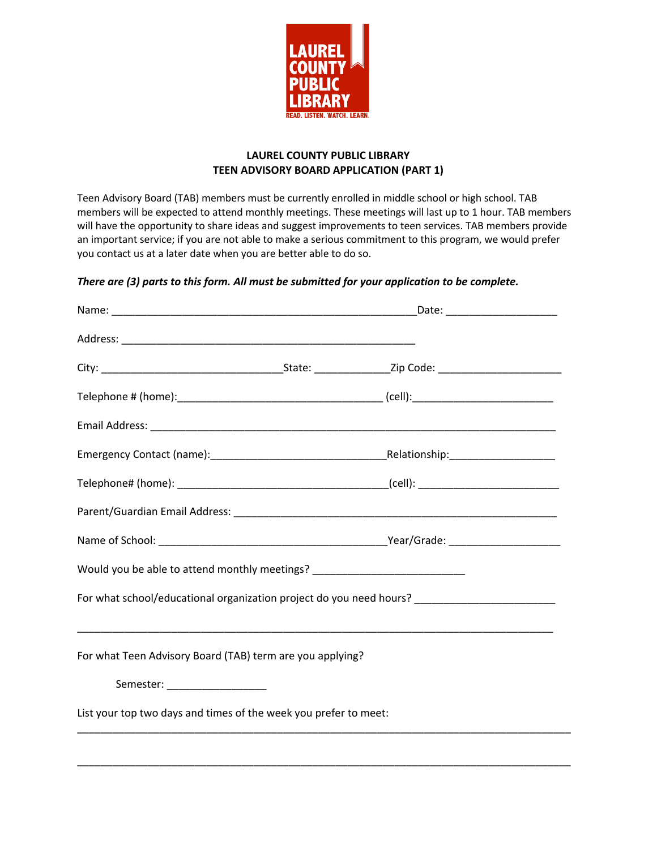

### **LAUREL COUNTY PUBLIC LIBRARY TEEN ADVISORY BOARD APPLICATION (PART 1)**

Teen Advisory Board (TAB) members must be currently enrolled in middle school or high school. TAB members will be expected to attend monthly meetings. These meetings will last up to 1 hour. TAB members will have the opportunity to share ideas and suggest improvements to teen services. TAB members provide an important service; if you are not able to make a serious commitment to this program, we would prefer you contact us at a later date when you are better able to do so.

## *There are (3) parts to this form. All must be submitted for your application to be complete.*

| Would you be able to attend monthly meetings? __________________________________                    |  |  |
|-----------------------------------------------------------------------------------------------------|--|--|
| For what school/educational organization project do you need hours? _______________________________ |  |  |
|                                                                                                     |  |  |
| For what Teen Advisory Board (TAB) term are you applying?                                           |  |  |
| Semester: ___________________                                                                       |  |  |
| List your top two days and times of the week you prefer to meet:                                    |  |  |
|                                                                                                     |  |  |

\_\_\_\_\_\_\_\_\_\_\_\_\_\_\_\_\_\_\_\_\_\_\_\_\_\_\_\_\_\_\_\_\_\_\_\_\_\_\_\_\_\_\_\_\_\_\_\_\_\_\_\_\_\_\_\_\_\_\_\_\_\_\_\_\_\_\_\_\_\_\_\_\_\_\_\_\_\_\_\_\_\_\_\_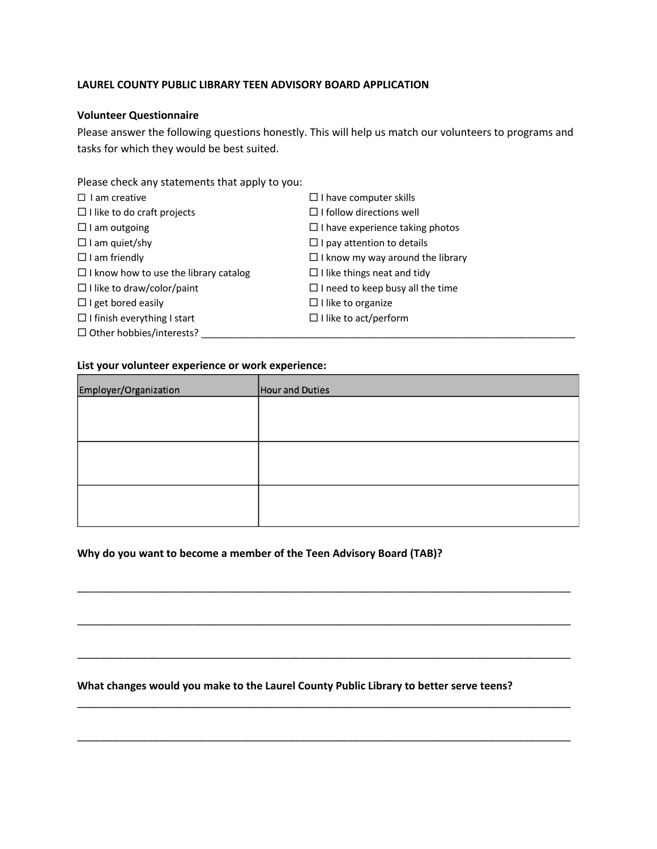#### **LAUREL COUNTY PUBLIC LIBRARY TEEN ADVISORY BOARD APPLICATION**

#### **Volunteer Questionnaire**

Please answer the following questions honestly. This will help us match our volunteers to programs and tasks for which they would be best suited.

Please check any statements that apply to you:

| $\Box$ I am creative                         | $\Box$ I have computer skills           |
|----------------------------------------------|-----------------------------------------|
| $\Box$ I like to do craft projects           | $\Box$ I follow directions well         |
| $\Box$ I am outgoing                         | $\Box$ I have experience taking photos  |
| $\Box$ I am quiet/shy                        | $\Box$ I pay attention to details       |
| $\Box$ I am friendly                         | $\Box$ I know my way around the library |
| $\Box$ I know how to use the library catalog | $\Box$ I like things neat and tidy      |
| $\Box$ I like to draw/color/paint            | $\Box$ I need to keep busy all the time |
| $\Box$ I get bored easily                    | $\Box$ I like to organize               |
| $\Box$ I finish everything I start           | $\Box$ I like to act/perform            |
| $\Box$ Other hobbies/interests?              |                                         |

#### **List your volunteer experience or work experience:**

| Employer/Organization | Hour and Duties |
|-----------------------|-----------------|
|                       |                 |
|                       |                 |
|                       |                 |
|                       |                 |
|                       |                 |
|                       |                 |

\_\_\_\_\_\_\_\_\_\_\_\_\_\_\_\_\_\_\_\_\_\_\_\_\_\_\_\_\_\_\_\_\_\_\_\_\_\_\_\_\_\_\_\_\_\_\_\_\_\_\_\_\_\_\_\_\_\_\_\_\_\_\_\_\_\_\_\_\_\_\_\_\_\_\_\_\_\_\_\_\_\_\_\_

\_\_\_\_\_\_\_\_\_\_\_\_\_\_\_\_\_\_\_\_\_\_\_\_\_\_\_\_\_\_\_\_\_\_\_\_\_\_\_\_\_\_\_\_\_\_\_\_\_\_\_\_\_\_\_\_\_\_\_\_\_\_\_\_\_\_\_\_\_\_\_\_\_\_\_\_\_\_\_\_\_\_\_\_

\_\_\_\_\_\_\_\_\_\_\_\_\_\_\_\_\_\_\_\_\_\_\_\_\_\_\_\_\_\_\_\_\_\_\_\_\_\_\_\_\_\_\_\_\_\_\_\_\_\_\_\_\_\_\_\_\_\_\_\_\_\_\_\_\_\_\_\_\_\_\_\_\_\_\_\_\_\_\_\_\_\_\_\_

\_\_\_\_\_\_\_\_\_\_\_\_\_\_\_\_\_\_\_\_\_\_\_\_\_\_\_\_\_\_\_\_\_\_\_\_\_\_\_\_\_\_\_\_\_\_\_\_\_\_\_\_\_\_\_\_\_\_\_\_\_\_\_\_\_\_\_\_\_\_\_\_\_\_\_\_\_\_\_\_\_\_\_\_

\_\_\_\_\_\_\_\_\_\_\_\_\_\_\_\_\_\_\_\_\_\_\_\_\_\_\_\_\_\_\_\_\_\_\_\_\_\_\_\_\_\_\_\_\_\_\_\_\_\_\_\_\_\_\_\_\_\_\_\_\_\_\_\_\_\_\_\_\_\_\_\_\_\_\_\_\_\_\_\_\_\_\_\_

#### **Why do you want to become a member of the Teen Advisory Board (TAB)?**

#### **What changes would you make to the Laurel County Public Library to better serve teens?**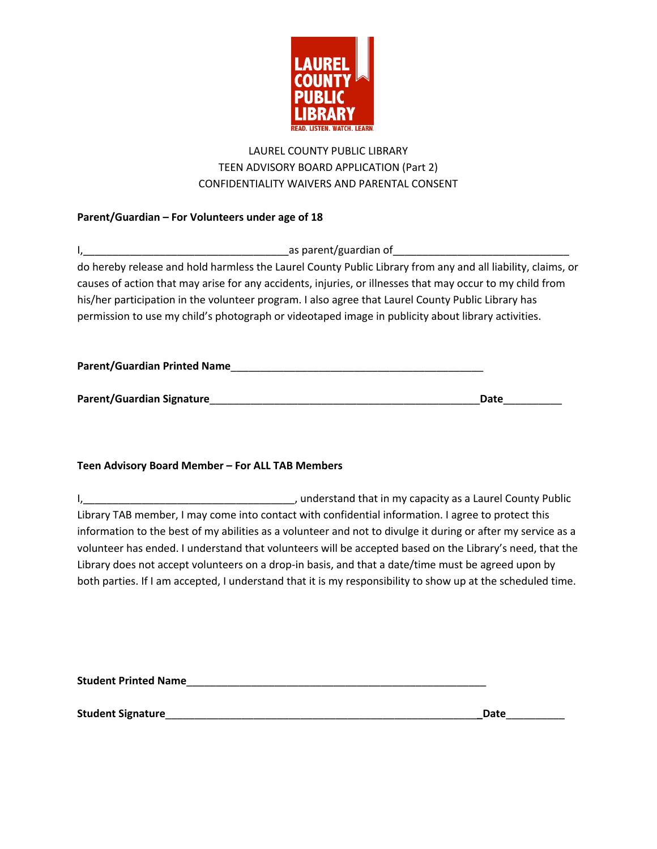

# LAUREL COUNTY PUBLIC LIBRARY TEEN ADVISORY BOARD APPLICATION (Part 2) CONFIDENTIALITY WAIVERS AND PARENTAL CONSENT

## **Parent/Guardian – For Volunteers under age of 18**

| as parent/guardian of                                                                                       |  |
|-------------------------------------------------------------------------------------------------------------|--|
| do hereby release and hold harmless the Laurel County Public Library from any and all liability, claims, or |  |
| causes of action that may arise for any accidents, injuries, or illnesses that may occur to my child from   |  |
| his/her participation in the volunteer program. I also agree that Laurel County Public Library has          |  |
| permission to use my child's photograph or videotaped image in publicity about library activities.          |  |
|                                                                                                             |  |
|                                                                                                             |  |

| Parent/Guardian Signature | Date |
|---------------------------|------|

**Parent/Guardian Printed Name**\_\_\_\_\_\_\_\_\_\_\_\_\_\_\_\_\_\_\_\_\_\_\_\_\_\_\_\_\_\_\_\_\_\_\_\_\_\_\_\_\_\_\_

### **Teen Advisory Board Member – For ALL TAB Members**

I,\_\_\_\_\_\_\_\_\_\_\_\_\_\_\_\_\_\_\_\_\_\_\_\_\_\_\_\_\_\_\_\_\_\_\_\_, understand that in my capacity as a Laurel County Public Library TAB member, I may come into contact with confidential information. I agree to protect this information to the best of my abilities as a volunteer and not to divulge it during or after my service as a volunteer has ended. I understand that volunteers will be accepted based on the Library's need, that the Library does not accept volunteers on a drop-in basis, and that a date/time must be agreed upon by both parties. If I am accepted, I understand that it is my responsibility to show up at the scheduled time.

**Student Printed Name**\_\_\_\_\_\_\_\_\_\_\_\_\_\_\_\_\_\_\_\_\_\_\_\_\_\_\_\_\_\_\_\_\_\_\_\_\_\_\_\_\_\_\_\_\_\_\_\_\_\_\_

**Student Signature**\_\_\_\_\_\_\_\_\_\_\_\_\_\_\_\_\_\_\_\_\_\_\_\_\_\_\_\_\_\_\_\_\_\_\_\_\_\_\_\_\_\_\_\_\_\_\_\_\_\_\_\_\_**\_Date**\_\_\_\_\_\_\_\_\_\_